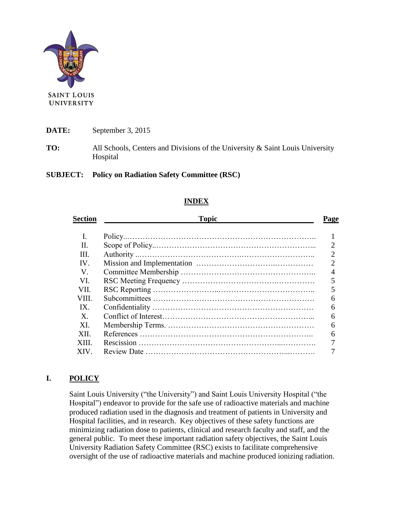

**DATE:** September 3, 2015

**TO:** All Schools, Centers and Divisions of the University & Saint Louis University Hospital

#### **SUBJECT: Policy on Radiation Safety Committee (RSC)**

### **INDEX**

| <b>Topic</b> | Page          |
|--------------|---------------|
|              |               |
|              |               |
|              |               |
|              | $\mathcal{D}$ |
|              |               |
|              |               |
|              |               |
|              |               |
|              |               |
|              | 6             |
|              |               |
|              |               |
|              |               |
|              |               |
|              |               |

## **I. POLICY**

Saint Louis University ("the University") and Saint Louis University Hospital ("the Hospital") endeavor to provide for the safe use of radioactive materials and machine produced radiation used in the diagnosis and treatment of patients in University and Hospital facilities, and in research. Key objectives of these safety functions are minimizing radiation dose to patients, clinical and research faculty and staff, and the general public. To meet these important radiation safety objectives, the Saint Louis University Radiation Safety Committee (RSC) exists to facilitate comprehensive oversight of the use of radioactive materials and machine produced ionizing radiation.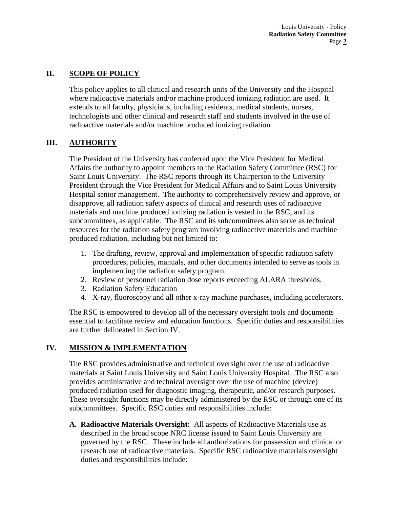Louis University - Policy **Radiation Safety Committee** Page **2**

## **II. SCOPE OF POLICY**

This policy applies to all clinical and research units of the University and the Hospital where radioactive materials and/or machine produced ionizing radiation are used. It extends to all faculty, physicians, including residents, medical students, nurses, technologists and other clinical and research staff and students involved in the use of radioactive materials and/or machine produced ionizing radiation.

### **III. AUTHORITY**

The President of the University has conferred upon the Vice President for Medical Affairs the authority to appoint members to the Radiation Safety Committee (RSC) for Saint Louis University. The RSC reports through its Chairperson to the University President through the Vice President for Medical Affairs and to Saint Louis University Hospital senior management. The authority to comprehensively review and approve, or disapprove, all radiation safety aspects of clinical and research uses of radioactive materials and machine produced ionizing radiation is vested in the RSC, and its subcommittees, as applicable. The RSC and its subcommittees also serve as technical resources for the radiation safety program involving radioactive materials and machine produced radiation, including but not limited to:

- 1. The drafting, review, approval and implementation of specific radiation safety procedures, policies, manuals, and other documents intended to serve as tools in implementing the radiation safety program.
- 2. Review of personnel radiation dose reports exceeding ALARA thresholds.
- 3. Radiation Safety Education
- 4. X-ray, fluoroscopy and all other x-ray machine purchases, including accelerators.

The RSC is empowered to develop all of the necessary oversight tools and documents essential to facilitate review and education functions. Specific duties and responsibilities are further delineated in Section IV.

#### **IV. MISSION & IMPLEMENTATION**

The RSC provides administrative and technical oversight over the use of radioactive materials at Saint Louis University and Saint Louis University Hospital. The RSC also provides administrative and technical oversight over the use of machine (device) produced radiation used for diagnostic imaging, therapeutic, and/or research purposes. These oversight functions may be directly administered by the RSC or through one of its subcommittees. Specific RSC duties and responsibilities include:

**A. Radioactive Materials Oversight:** All aspects of Radioactive Materials use as described in the broad scope NRC license issued to Saint Louis University are governed by the RSC. These include all authorizations for possession and clinical or research use of radioactive materials. Specific RSC radioactive materials oversight duties and responsibilities include: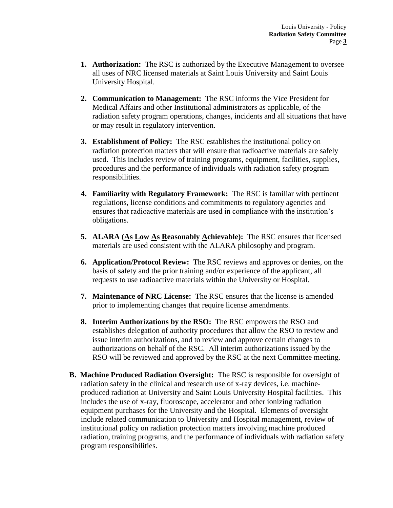- **1. Authorization:** The RSC is authorized by the Executive Management to oversee all uses of NRC licensed materials at Saint Louis University and Saint Louis University Hospital.
- **2. Communication to Management:** The RSC informs the Vice President for Medical Affairs and other Institutional administrators as applicable, of the radiation safety program operations, changes, incidents and all situations that have or may result in regulatory intervention.
- **3. Establishment of Policy:** The RSC establishes the institutional policy on radiation protection matters that will ensure that radioactive materials are safely used. This includes review of training programs, equipment, facilities, supplies, procedures and the performance of individuals with radiation safety program responsibilities.
- **4. Familiarity with Regulatory Framework:** The RSC is familiar with pertinent regulations, license conditions and commitments to regulatory agencies and ensures that radioactive materials are used in compliance with the institution's obligations.
- 5. ALARA (As Low As Reasonably Achievable): The RSC ensures that licensed materials are used consistent with the ALARA philosophy and program.
- **6. Application/Protocol Review:** The RSC reviews and approves or denies, on the basis of safety and the prior training and/or experience of the applicant, all requests to use radioactive materials within the University or Hospital.
- **7. Maintenance of NRC License:** The RSC ensures that the license is amended prior to implementing changes that require license amendments.
- **8. Interim Authorizations by the RSO:** The RSC empowers the RSO and establishes delegation of authority procedures that allow the RSO to review and issue interim authorizations, and to review and approve certain changes to authorizations on behalf of the RSC. All interim authorizations issued by the RSO will be reviewed and approved by the RSC at the next Committee meeting.
- **B. Machine Produced Radiation Oversight:** The RSC is responsible for oversight of radiation safety in the clinical and research use of x-ray devices, i.e. machineproduced radiation at University and Saint Louis University Hospital facilities. This includes the use of x-ray, fluoroscope, accelerator and other ionizing radiation equipment purchases for the University and the Hospital. Elements of oversight include related communication to University and Hospital management, review of institutional policy on radiation protection matters involving machine produced radiation, training programs, and the performance of individuals with radiation safety program responsibilities.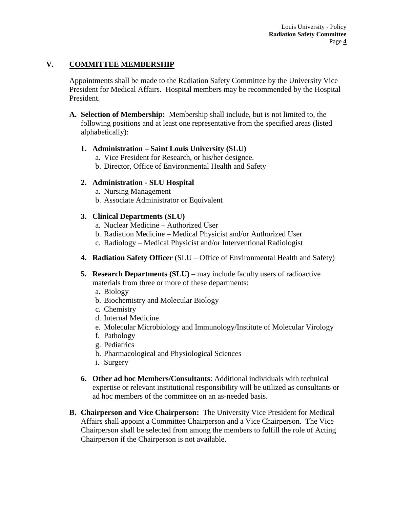## **V. COMMITTEE MEMBERSHIP**

Appointments shall be made to the Radiation Safety Committee by the University Vice President for Medical Affairs. Hospital members may be recommended by the Hospital President.

- **A. Selection of Membership:** Membership shall include, but is not limited to, the following positions and at least one representative from the specified areas (listed alphabetically):
	- **1. Administration – Saint Louis University (SLU)**
		- a. Vice President for Research, or his/her designee.
		- b. Director, Office of Environmental Health and Safety

### **2. Administration - SLU Hospital**

- a. Nursing Management
- b. Associate Administrator or Equivalent

### **3. Clinical Departments (SLU)**

- a. Nuclear Medicine Authorized User
- b. Radiation Medicine Medical Physicist and/or Authorized User
- c. Radiology Medical Physicist and/or Interventional Radiologist
- **4. Radiation Safety Officer** (SLU Office of Environmental Health and Safety)
- **5. Research Departments (SLU)** may include faculty users of radioactive materials from three or more of these departments:
	- a. Biology
	- b. Biochemistry and Molecular Biology
	- c. Chemistry
	- d. Internal Medicine
	- e. Molecular Microbiology and Immunology/Institute of Molecular Virology
	- f. Pathology
	- g. Pediatrics
	- h. Pharmacological and Physiological Sciences
	- i. Surgery
- **6. Other ad hoc Members/Consultants**: Additional individuals with technical expertise or relevant institutional responsibility will be utilized as consultants or ad hoc members of the committee on an as-needed basis.
- **B. Chairperson and Vice Chairperson:** The University Vice President for Medical Affairs shall appoint a Committee Chairperson and a Vice Chairperson. The Vice Chairperson shall be selected from among the members to fulfill the role of Acting Chairperson if the Chairperson is not available.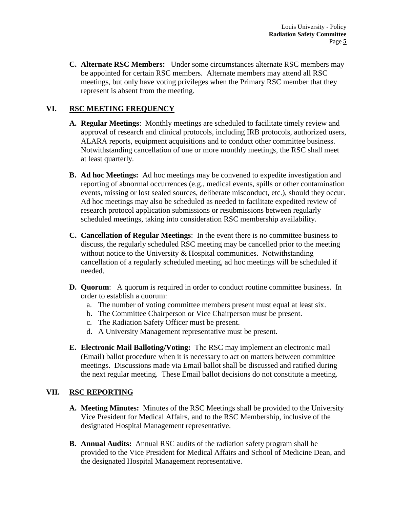**C. Alternate RSC Members:** Under some circumstances alternate RSC members may be appointed for certain RSC members. Alternate members may attend all RSC meetings, but only have voting privileges when the Primary RSC member that they represent is absent from the meeting.

# **VI. RSC MEETING FREQUENCY**

- **A. Regular Meetings**: Monthly meetings are scheduled to facilitate timely review and approval of research and clinical protocols, including IRB protocols, authorized users, ALARA reports, equipment acquisitions and to conduct other committee business. Notwithstanding cancellation of one or more monthly meetings, the RSC shall meet at least quarterly.
- **B. Ad hoc Meetings:** Ad hoc meetings may be convened to expedite investigation and reporting of abnormal occurrences (e.g., medical events, spills or other contamination events, missing or lost sealed sources, deliberate misconduct, etc.), should they occur. Ad hoc meetings may also be scheduled as needed to facilitate expedited review of research protocol application submissions or resubmissions between regularly scheduled meetings, taking into consideration RSC membership availability.
- **C. Cancellation of Regular Meetings**: In the event there is no committee business to discuss, the regularly scheduled RSC meeting may be cancelled prior to the meeting without notice to the University & Hospital communities. Notwithstanding cancellation of a regularly scheduled meeting, ad hoc meetings will be scheduled if needed.
- **D. Quorum**: A quorum is required in order to conduct routine committee business. In order to establish a quorum:
	- a. The number of voting committee members present must equal at least six.
	- b. The Committee Chairperson or Vice Chairperson must be present.
	- c. The Radiation Safety Officer must be present.
	- d. A University Management representative must be present.
- **E. Electronic Mail Balloting/Voting:** The RSC may implement an electronic mail (Email) ballot procedure when it is necessary to act on matters between committee meetings. Discussions made via Email ballot shall be discussed and ratified during the next regular meeting. These Email ballot decisions do not constitute a meeting.

## **VII. RSC REPORTING**

- **A. Meeting Minutes:** Minutes of the RSC Meetings shall be provided to the University Vice President for Medical Affairs, and to the RSC Membership, inclusive of the designated Hospital Management representative.
- **B. Annual Audits:** Annual RSC audits of the radiation safety program shall be provided to the Vice President for Medical Affairs and School of Medicine Dean, and the designated Hospital Management representative.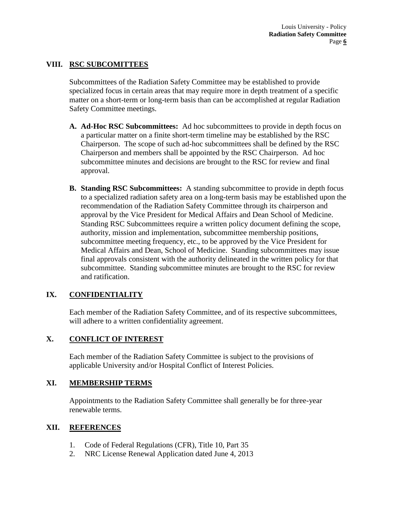## **VIII. RSC SUBCOMITTEES**

Subcommittees of the Radiation Safety Committee may be established to provide specialized focus in certain areas that may require more in depth treatment of a specific matter on a short-term or long-term basis than can be accomplished at regular Radiation Safety Committee meetings.

- **A. Ad-Hoc RSC Subcommittees:** Ad hoc subcommittees to provide in depth focus on a particular matter on a finite short-term timeline may be established by the RSC Chairperson. The scope of such ad-hoc subcommittees shall be defined by the RSC Chairperson and members shall be appointed by the RSC Chairperson. Ad hoc subcommittee minutes and decisions are brought to the RSC for review and final approval.
- **B. Standing RSC Subcommittees:** A standing subcommittee to provide in depth focus to a specialized radiation safety area on a long-term basis may be established upon the recommendation of the Radiation Safety Committee through its chairperson and approval by the Vice President for Medical Affairs and Dean School of Medicine. Standing RSC Subcommittees require a written policy document defining the scope, authority, mission and implementation, subcommittee membership positions, subcommittee meeting frequency, etc., to be approved by the Vice President for Medical Affairs and Dean, School of Medicine. Standing subcommittees may issue final approvals consistent with the authority delineated in the written policy for that subcommittee. Standing subcommittee minutes are brought to the RSC for review and ratification.

## **IX. CONFIDENTIALITY**

Each member of the Radiation Safety Committee, and of its respective subcommittees, will adhere to a written confidentiality agreement.

## **X. CONFLICT OF INTEREST**

Each member of the Radiation Safety Committee is subject to the provisions of applicable University and/or Hospital Conflict of Interest Policies.

#### **XI. MEMBERSHIP TERMS**

Appointments to the Radiation Safety Committee shall generally be for three-year renewable terms.

#### **XII. REFERENCES**

- 1. Code of Federal Regulations (CFR), Title 10, Part 35
- 2. NRC License Renewal Application dated June 4, 2013